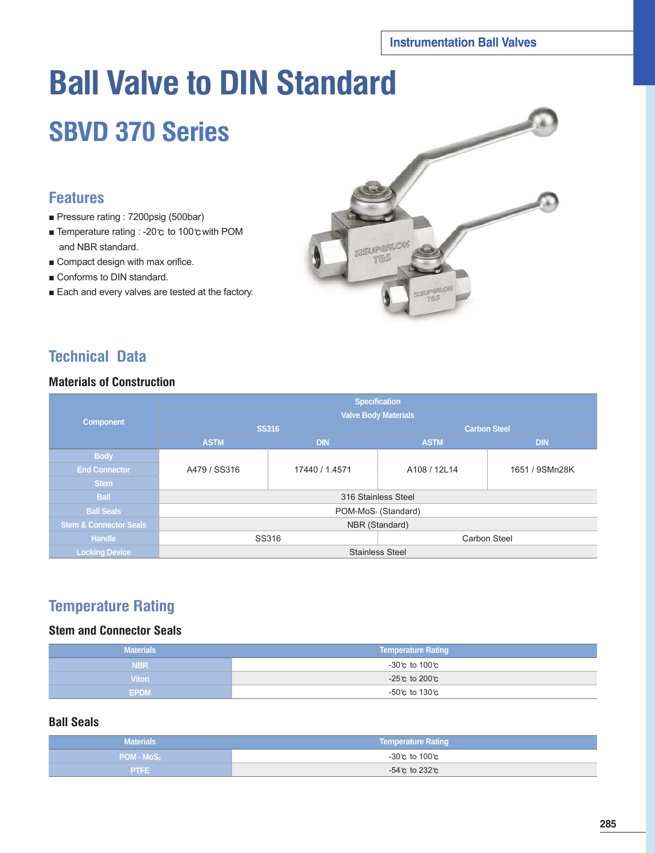# **Ball Valve to DIN Standard**

## **SBVD 370 Series**

## **Features**

- Pressure rating : 7200psig (500bar)
- Temperature rating : -20℃ to 100℃with POM and NBR standard.
- Compact design with max orifice.
- Conforms to DIN standard.
- Each and every valves are tested at the factory.



## **Technical Data**

#### **Materials of Construction**

|                                   | <b>Specification</b>            |                |                        |                     |  |  |  |  |  |  |
|-----------------------------------|---------------------------------|----------------|------------------------|---------------------|--|--|--|--|--|--|
| <b>Component</b>                  | <b>Valve Body Materials</b>     |                |                        |                     |  |  |  |  |  |  |
|                                   |                                 | <b>SS316</b>   | <b>Carbon Steel</b>    |                     |  |  |  |  |  |  |
|                                   | <b>ASTM</b>                     | <b>DIN</b>     | <b>ASTM</b>            | <b>DIN</b>          |  |  |  |  |  |  |
| <b>Body</b>                       |                                 |                |                        |                     |  |  |  |  |  |  |
| <b>End Connector</b>              | A479 / SS316                    | 17440 / 1.4571 | A108 / 12L14           | 1651 / 9SMn28K      |  |  |  |  |  |  |
| <b>Stem</b>                       |                                 |                |                        |                     |  |  |  |  |  |  |
| <b>Ball</b>                       | 316 Stainless Steel             |                |                        |                     |  |  |  |  |  |  |
| <b>Ball Seals</b>                 | POM-MoS <sub>2</sub> (Standard) |                |                        |                     |  |  |  |  |  |  |
| <b>Stem &amp; Connector Seals</b> | NBR (Standard)                  |                |                        |                     |  |  |  |  |  |  |
| <b>Handle</b>                     |                                 | SS316          |                        | <b>Carbon Steel</b> |  |  |  |  |  |  |
| <b>Locking Device</b>             |                                 |                | <b>Stainless Steel</b> |                     |  |  |  |  |  |  |

## **Temperature Rating**

## **Stem and Connector Seals**

| <b>Materials</b> | <b>Temperature Rating</b> |
|------------------|---------------------------|
| <b>NBR</b>       | -30℃ to 100℃              |
| <b>Viton</b>     | -25℃ to 200℃              |
| <b>EPDM</b>      | -50℃ to 130℃              |

#### **Ball Seals**

| <b>Materials</b> | <b>Temperature Rating</b> |
|------------------|---------------------------|
| $POM - MoS2$     | -30℃ to 100℃              |
| <b>PTFE</b>      | -54℃ to 232℃              |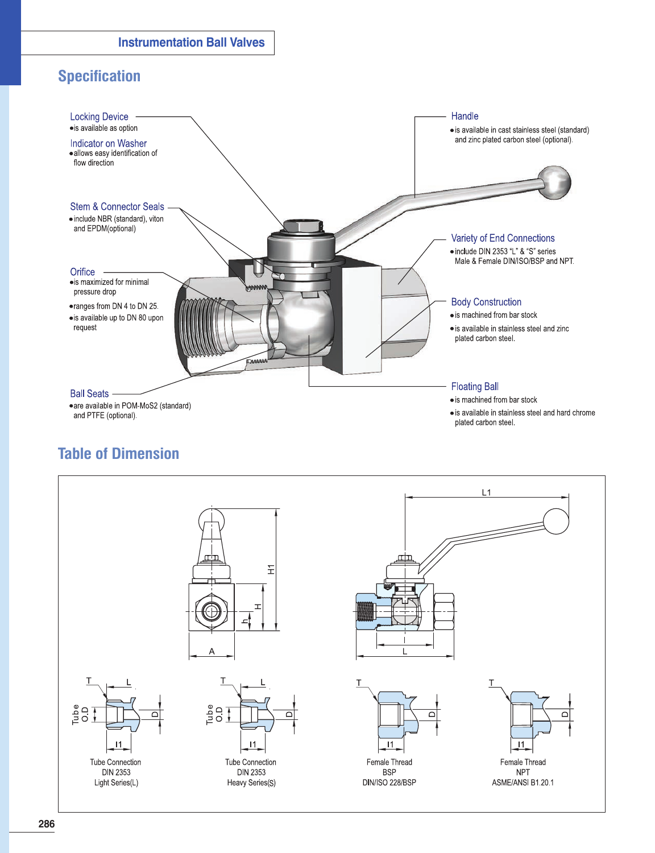## **Specification**



## **Table of Dimension**